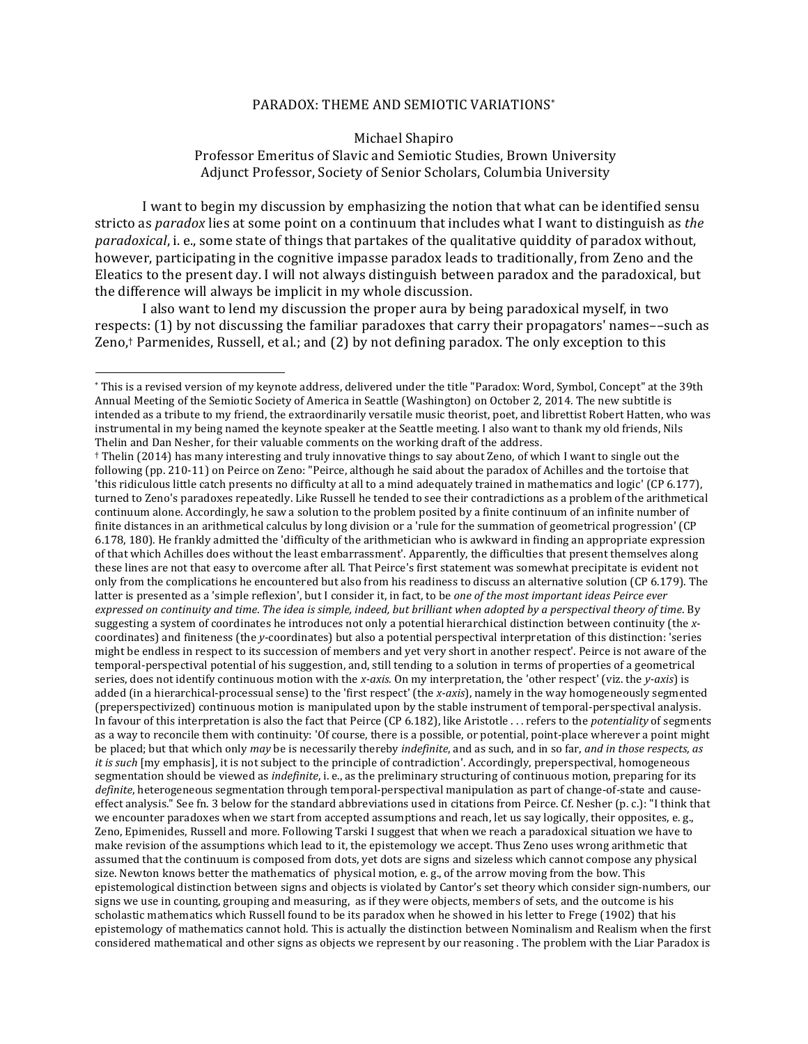### PARADOX: THEME AND SEMIOTIC VARIATIONS\*

## Michael Shapiro Professor Emeritus of Slavic and Semiotic Studies, Brown University Adjunct Professor, Society of Senior Scholars, Columbia University

I want to begin my discussion by emphasizing the notion that what can be identified sensu stricto as *paradox* lies at some point on a continuum that includes what I want to distinguish as *the paradoxical*, *i. e.*, some state of things that partakes of the qualitative quiddity of paradox without, however, participating in the cognitive impasse paradox leads to traditionally, from Zeno and the Eleatics to the present day. I will not always distinguish between paradox and the paradoxical, but the difference will always be implicit in my whole discussion.

I also want to lend my discussion the proper aura by being paradoxical myself, in two respects: (1) by not discussing the familiar paradoxes that carry their propagators' names––such as Zeno, $\dagger$  Parmenides, Russell, et al.; and (2) by not defining paradox. The only exception to this

<sup>\*</sup> This is a revised version of my keynote address, delivered under the title "Paradox: Word, Symbol, Concept" at the 39th Annual Meeting of the Semiotic Society of America in Seattle (Washington) on October 2, 2014. The new subtitle is intended as a tribute to my friend, the extraordinarily versatile music theorist, poet, and librettist Robert Hatten, who was instrumental in my being named the keynote speaker at the Seattle meeting. I also want to thank my old friends, Nils Thelin and Dan Nesher, for their valuable comments on the working draft of the address.

 $\ddot{\text{}}$  Thelin (2014) has many interesting and truly innovative things to say about Zeno, of which I want to single out the following (pp. 210-11) on Peirce on Zeno: "Peirce, although he said about the paradox of Achilles and the tortoise that 'this ridiculous little catch presents no difficulty at all to a mind adequately trained in mathematics and logic' (CP 6.177), turned to Zeno's paradoxes repeatedly. Like Russell he tended to see their contradictions as a problem of the arithmetical continuum alone. Accordingly, he saw a solution to the problem posited by a finite continuum of an infinite number of finite distances in an arithmetical calculus by long division or a 'rule for the summation of geometrical progression' (CP) 6.178, 180). He frankly admitted the 'difficulty of the arithmetician who is awkward in finding an appropriate expression of that which Achilles does without the least embarrassment'. Apparently, the difficulties that present themselves along these lines are not that easy to overcome after all. That Peirce's first statement was somewhat precipitate is evident not only from the complications he encountered but also from his readiness to discuss an alternative solution (CP 6.179). The latter is presented as a 'simple reflexion', but I consider it, in fact, to be *one of the most important ideas Peirce ever expressed\*on\*continuity\*and\*time*.(*The\*idea\*is\*simple,\*indeed,\*but\*brilliant\*when\*adopted\*by\*a\*perspectival\*theory\*of time*.(By( suggesting a system of coordinates he introduces not only a potential hierarchical distinction between continuity (the xcoordinates) and finiteness (the *y*-coordinates) but also a potential perspectival interpretation of this distinction: 'series might be endless in respect to its succession of members and yet very short in another respect'. Peirce is not aware of the temporal-perspectival potential of his suggestion, and, still tending to a solution in terms of properties of a geometrical series, does not identify continuous motion with the *x-axis*. On my interpretation, the 'other respect' (viz. the *y-axis*) is added (in a hierarchical-processual sense) to the 'first respect' (the *x-axis*), namely in the way homogeneously segmented  $($ preperspectivized) continuous motion is manipulated upon by the stable instrument of temporal-perspectival analysis. In favour of this interpretation is also the fact that Peirce (CP 6.182), like Aristotle ... refers to the *potentiality* of segments as a way to reconcile them with continuity: 'Of course, there is a possible, or potential, point-place wherever a point might be placed; but that which only *may* be is necessarily thereby *indefinite*, and as such, and in so far, *and in those respects*, as *it is such* [my emphasis], it is not subject to the principle of contradiction'. Accordingly, preperspectival, homogeneous segmentation should be viewed as *indefinite*, i. e., as the preliminary structuring of continuous motion, preparing for its *definite*, heterogeneous segmentation through temporal-perspectival manipulation as part of change-of-state and causeeffect analysis." See fn. 3 below for the standard abbreviations used in citations from Peirce. Cf. Nesher (p.c.): "I think that we encounter paradoxes when we start from accepted assumptions and reach, let us say logically, their opposites, e.g., Zeno, Epimenides, Russell and more. Following Tarski I suggest that when we reach a paradoxical situation we have to make revision of the assumptions which lead to it, the epistemology we accept. Thus Zeno uses wrong arithmetic that assumed that the continuum is composed from dots, yet dots are signs and sizeless which cannot compose any physical size. Newton knows better the mathematics of physical motion, e.g., of the arrow moving from the bow. This epistemological distinction between signs and objects is violated by Cantor's set theory which consider sign-numbers, our signs we use in counting, grouping and measuring, as if they were objects, members of sets, and the outcome is his scholastic mathematics which Russell found to be its paradox when he showed in his letter to Frege (1902) that his epistemology of mathematics cannot hold. This is actually the distinction between Nominalism and Realism when the first considered mathematical and other signs as objects we represent by our reasoning. The problem with the Liar Paradox is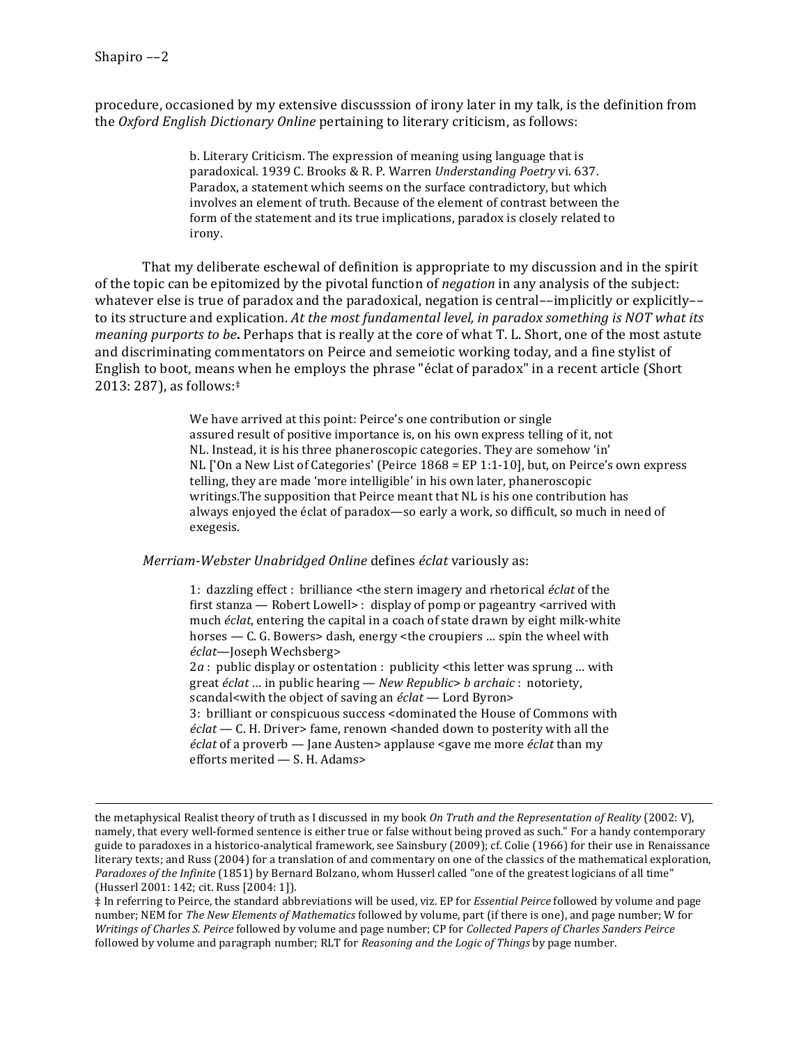procedure, occasioned by my extensive discusssion of irony later in my talk, is the definition from the *Oxford English Dictionary Online* pertaining to literary criticism, as follows:

> b. Literary Criticism. The expression of meaning using language that is paradoxical. 1939 C. Brooks & R. P. Warren *Understanding Poetry* vi. 637. Paradox, a statement which seems on the surface contradictory, but which involves an element of truth. Because of the element of contrast between the form of the statement and its true implications, paradox is closely related to irony.

That my deliberate eschewal of definition is appropriate to my discussion and in the spirit of the topic can be epitomized by the pivotal function of *negation* in any analysis of the subject: whatever else is true of paradox and the paradoxical, negation is central––implicitly or explicitly–– to its structure and explication. At the most fundamental level, in paradox something is NOT what its *meaning purports to be.* Perhaps that is really at the core of what T. L. Short, one of the most astute and discriminating commentators on Peirce and semeiotic working today, and a fine stylist of English to boot, means when he employs the phrase "éclat of paradox" in a recent article (Short  $2013:287$ ), as follows: $*$ 

> We have arrived at this point: Peirce's one contribution or single assured result of positive importance is, on his own express telling of it, not NL. Instead, it is his three phaneroscopic categories. They are somehow 'in' NL ['On a New List of Categories' (Peirce  $1868$  = EP 1:1-10], but, on Peirce's own express telling, they are made 'more intelligible' in his own later, phaneroscopic writings. The supposition that Peirce meant that NL is his one contribution has always enjoyed the éclat of paradox—so early a work, so difficult, so much in need of exegesis.

*Merriam-Webster Unabridged Online* defines *éclat* variously as:

1: dazzling effect: brilliance <the stern imagery and rhetorical *éclat* of the first stanza — Robert Lowell>: display of pomp or pageantry <arrived with much éclat, entering the capital in a coach of state drawn by eight milk-white horses  $-$  C. G. Bowers> dash, energy <the croupiers ... spin the wheel with *éclat*—Joseph Wechsberg>(  $2a$  : public display or ostentation : publicity <this letter was sprung ... with

great  $\acute{e}$ *clat* ... in public hearing — *New Republic*> *b archaic* : notoriety, scandal<with the object of saving an  $\acute{e}$ *clat* — Lord Byron> 3: brilliant or conspicuous success < dominated the House of Commons with *éclat* — C. H. Driver> fame, renown <handed down to posterity with all the

*éclat* of a proverb — Jane Austen> applause <gave me more *éclat* than my efforts merited - S.H. Adams>

((((((((((((((((((((((((((((((((((((((((((((((((((((((((((((((((((((((((((((((((((((((((((((((((((((((((((((((((((((((((((((((((((((((((((((((((((((((((((((((((((((((((((((((((((

the metaphysical Realist theory of truth as I discussed in my book On Truth and the Representation of Reality (2002: V), namely, that every well-formed sentence is either true or false without being proved as such." For a handy contemporary guide to paradoxes in a historico-analytical framework, see Sainsbury (2009); cf. Colie (1966) for their use in Renaissance literary texts; and Russ (2004) for a translation of and commentary on one of the classics of the mathematical exploration, *Paradoxes of the Infinite* (1851) by Bernard Bolzano, whom Husserl called "one of the greatest logicians of all time" (Husserl 2001: 142; cit. Russ [2004: 1]).

 $\ddagger$  In referring to Peirce, the standard abbreviations will be used, viz. EP for *Essential Peirce* followed by volume and page number; NEM for *The New Elements of Mathematics* followed by volume, part (if there is one), and page number; W for *Writings of Charles S. Peirce* followed by volume and page number; CP for *Collected Papers of Charles Sanders Peirce* followed by volume and paragraph number; RLT for *Reasoning and the Logic of Things* by page number.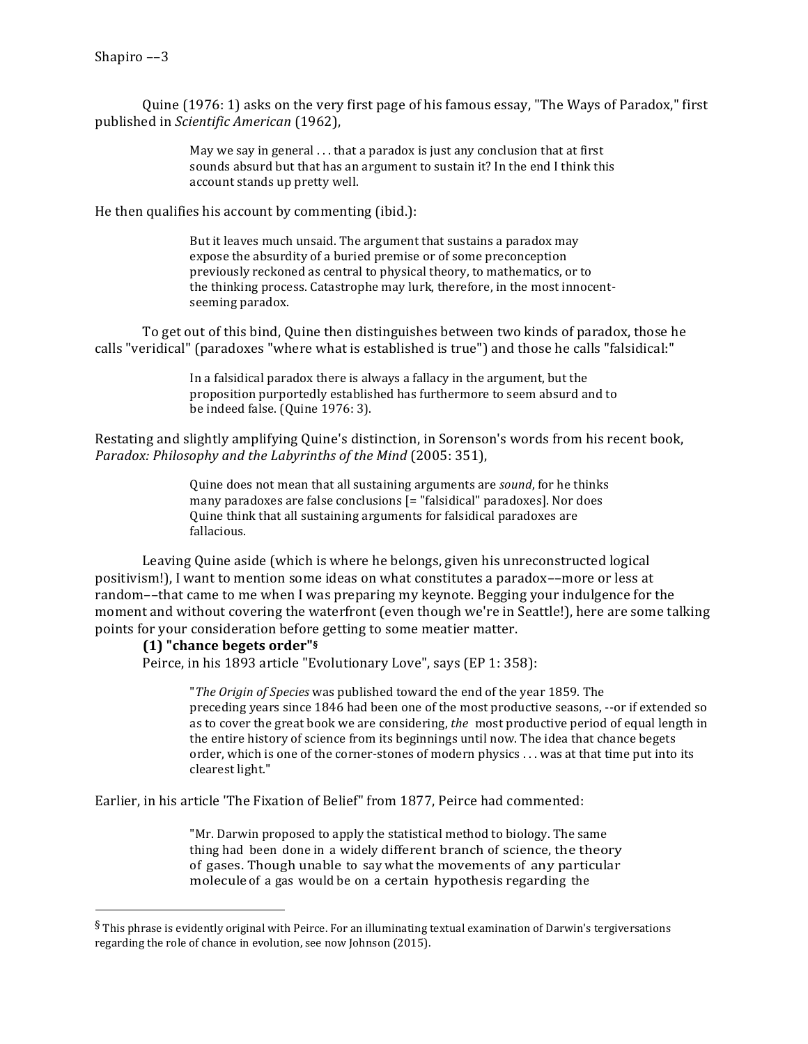Quine (1976: 1) asks on the very first page of his famous essay, "The Ways of Paradox," first published in *Scientific American* (1962),

> May we say in general  $\dots$  that a paradox is just any conclusion that at first sounds absurd but that has an argument to sustain it? In the end I think this account stands up pretty well.

He then qualifies his account by commenting (ibid.):

But it leaves much unsaid. The argument that sustains a paradox may expose the absurdity of a buried premise or of some preconception previously reckoned as central to physical theory, to mathematics, or to the thinking process. Catastrophe may lurk, therefore, in the most innocentseeming paradox.

To get out of this bind, Quine then distinguishes between two kinds of paradox, those he calls "veridical" (paradoxes "where what is established is true") and those he calls "falsidical:"

> In a falsidical paradox there is always a fallacy in the argument, but the proposition purportedly established has furthermore to seem absurd and to be indeed false. (Quine 1976: 3).

Restating and slightly amplifying Quine's distinction, in Sorenson's words from his recent book, *Paradox: Philosophy and the Labyrinths of the Mind* (2005: 351),

> Quine does not mean that all sustaining arguments are *sound*, for he thinks many paradoxes are false conclusions [= "falsidical" paradoxes]. Nor does Quine think that all sustaining arguments for falsidical paradoxes are fallacious.

Leaving Quine aside (which is where he belongs, given his unreconstructed logical positivism!), I want to mention some ideas on what constitutes a paradox––more or less at random--that came to me when I was preparing my keynote. Begging your indulgence for the moment and without covering the waterfront (even though we're in Seattle!), here are some talking points for your consideration before getting to some meatier matter.

## **(1)%"chance%begets%order"§**

 $($ 

Peirce, in his 1893 article "Evolutionary Love", says (EP 1: 358):

"The Origin of Species was published toward the end of the year 1859. The preceding years since 1846 had been one of the most productive seasons, --or if extended so as to cover the great book we are considering, *the* most productive period of equal length in the entire history of science from its beginnings until now. The idea that chance begets order, which is one of the corner-stones of modern physics ... was at that time put into its clearest light."

Earlier, in his article 'The Fixation of Belief" from 1877, Peirce had commented:

"Mr. Darwin proposed to apply the statistical method to biology. The same thing had been done in a widely different branch of science, the theory of gases. Though unable to say what the movements of any particular molecule of a gas would be on a certain hypothesis regarding the

 $§$  This phrase is evidently original with Peirce. For an illuminating textual examination of Darwin's tergiversations regarding the role of chance in evolution, see now Johnson (2015).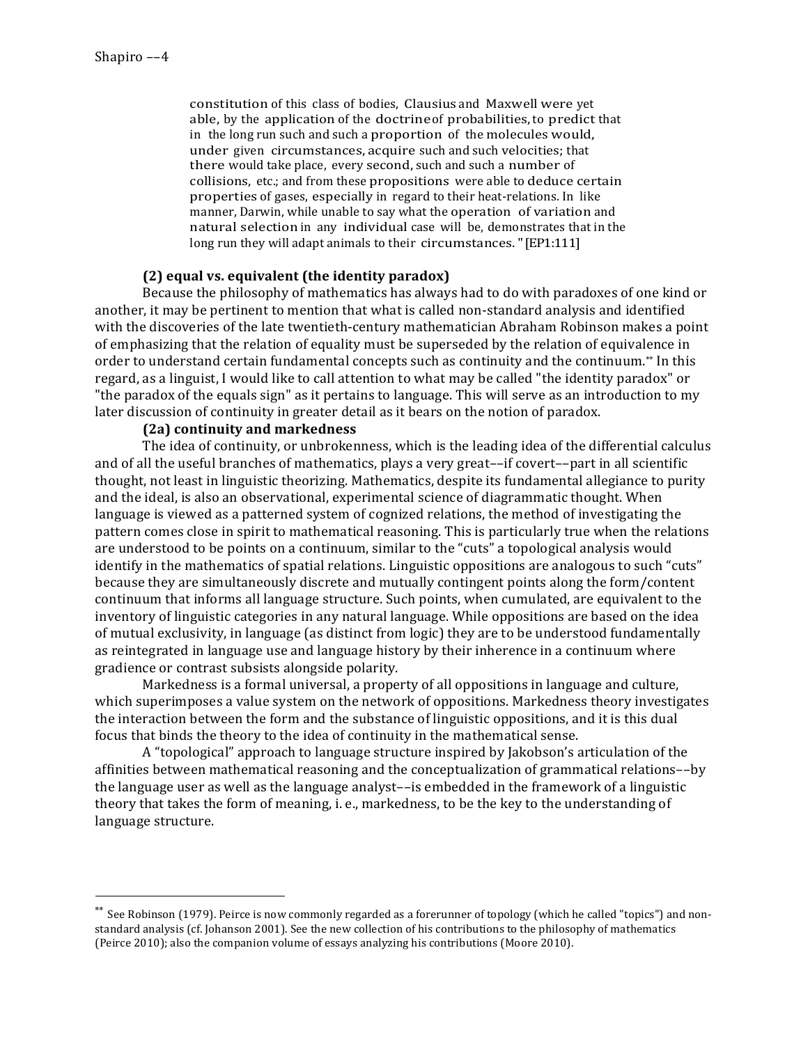constitution of this class of bodies, Clausius and Maxwell were yet able, by the application of the doctrine of probabilities, to predict that in the long run such and such a proportion of the molecules would, under given circumstances, acquire such and such velocities; that there would take place, every second, such and such a number of collisions, etc.; and from these propositions were able to deduce certain properties of gases, especially in regard to their heat-relations. In like manner, Darwin, while unable to say what the operation of variation and natural selection in any individual case will be, demonstrates that in the long run they will adapt animals to their circumstances." [EP1:111]

# **(2) equal vs. equivalent (the identity paradox)**

Because the philosophy of mathematics has always had to do with paradoxes of one kind or another, it may be pertinent to mention that what is called non-standard analysis and identified with the discoveries of the late twentieth-century mathematician Abraham Robinson makes a point of emphasizing that the relation of equality must be superseded by the relation of equivalence in order to understand certain fundamental concepts such as continuity and the continuum.\*\* In this regard, as a linguist, I would like to call attention to what may be called "the identity paradox" or "the paradox of the equals sign" as it pertains to language. This will serve as an introduction to my later discussion of continuity in greater detail as it bears on the notion of paradox.

# **(2a) continuity%and markedness**

(((((((((((((((((((((((((((((((((((((((((((((((((((((((

The idea of continuity, or unbrokenness, which is the leading idea of the differential calculus and of all the useful branches of mathematics, plays a very great––if covert––part in all scientific thought, not least in linguistic theorizing. Mathematics, despite its fundamental allegiance to purity and the ideal, is also an observational, experimental science of diagrammatic thought. When language is viewed as a patterned system of cognized relations, the method of investigating the pattern comes close in spirit to mathematical reasoning. This is particularly true when the relations are understood to be points on a continuum, similar to the "cuts" a topological analysis would identify in the mathematics of spatial relations. Linguistic oppositions are analogous to such "cuts" because they are simultaneously discrete and mutually contingent points along the form/content continuum that informs all language structure. Such points, when cumulated, are equivalent to the inventory of linguistic categories in any natural language. While oppositions are based on the idea of mutual exclusivity, in language (as distinct from logic) they are to be understood fundamentally as reintegrated in language use and language history by their inherence in a continuum where gradience or contrast subsists alongside polarity.

Markedness is a formal universal, a property of all oppositions in language and culture, which superimposes a value system on the network of oppositions. Markedness theory investigates the interaction between the form and the substance of linguistic oppositions, and it is this dual focus that binds the theory to the idea of continuity in the mathematical sense.

A "topological" approach to language structure inspired by Jakobson's articulation of the affinities between mathematical reasoning and the conceptualization of grammatical relations––by the language user as well as the language analyst––is embedded in the framework of a linguistic theory that takes the form of meaning, i. e., markedness, to be the key to the understanding of language structure.

<sup>\*\*</sup> See Robinson (1979). Peirce is now commonly regarded as a forerunner of topology (which he called "topics") and nonstandard analysis (cf. Johanson 2001). See the new collection of his contributions to the philosophy of mathematics (Peirce 2010); also the companion volume of essays analyzing his contributions (Moore 2010).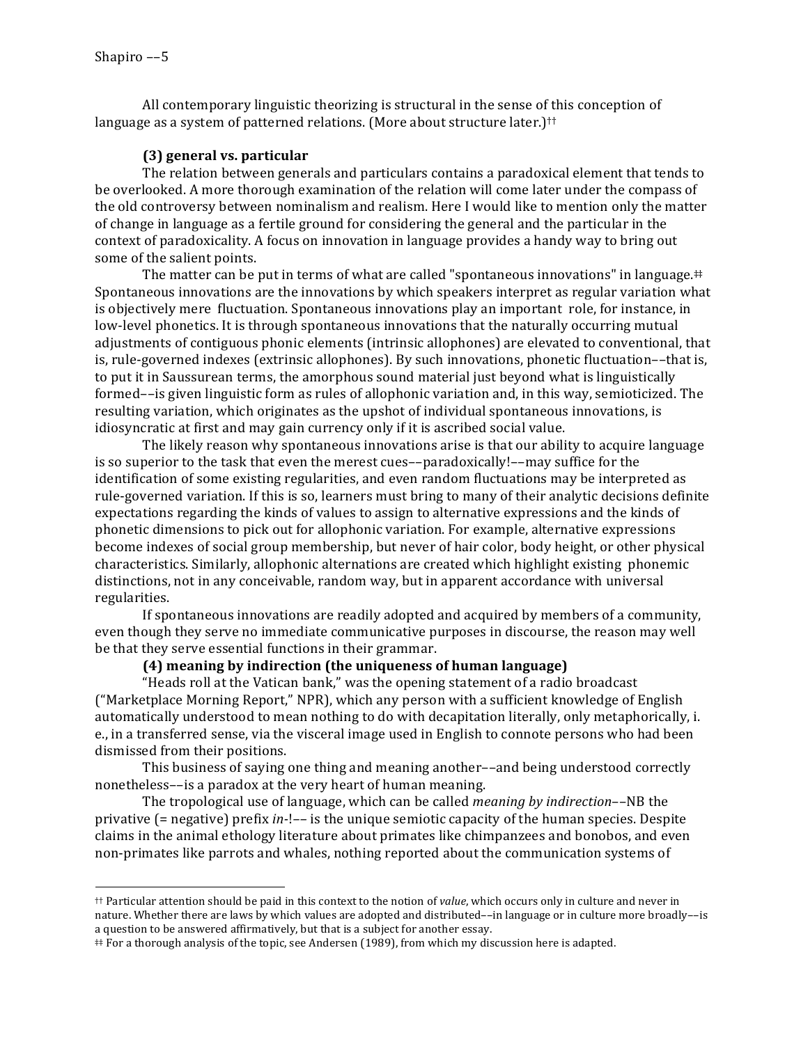All contemporary linguistic theorizing is structural in the sense of this conception of language as a system of patterned relations. (More about structure later.)<sup>††</sup>

# **(3)%general%vs.%particular**

The relation between generals and particulars contains a paradoxical element that tends to be overlooked. A more thorough examination of the relation will come later under the compass of the old controversy between nominalism and realism. Here I would like to mention only the matter of change in language as a fertile ground for considering the general and the particular in the context of paradoxicality. A focus on innovation in language provides a handy way to bring out some of the salient points.

The matter can be put in terms of what are called "spontaneous innovations" in language. $\ddot{\tau}$ Spontaneous innovations are the innovations by which speakers interpret as regular variation what is objectively mere fluctuation. Spontaneous innovations play an important role, for instance, in low-level phonetics. It is through spontaneous innovations that the naturally occurring mutual adjustments of contiguous phonic elements (intrinsic allophones) are elevated to conventional, that is, rule-governed indexes (extrinsic allophones). By such innovations, phonetic fluctuation––that is, to put it in Saussurean terms, the amorphous sound material just beyond what is linguistically formed––is given linguistic form as rules of allophonic variation and, in this way, semioticized. The resulting variation, which originates as the upshot of individual spontaneous innovations, is idiosyncratic at first and may gain currency only if it is ascribed social value.

The likely reason why spontaneous innovations arise is that our ability to acquire language is so superior to the task that even the merest cues––paradoxically!––may suffice for the identification of some existing regularities, and even random fluctuations may be interpreted as rule-governed variation. If this is so, learners must bring to many of their analytic decisions definite expectations regarding the kinds of values to assign to alternative expressions and the kinds of phonetic dimensions to pick out for allophonic variation. For example, alternative expressions become indexes of social group membership, but never of hair color, body height, or other physical characteristics. Similarly, allophonic alternations are created which highlight existing phonemic distinctions, not in any conceivable, random way, but in apparent accordance with universal regularities.

If spontaneous innovations are readily adopted and acquired by members of a community, even though they serve no immediate communicative purposes in discourse, the reason may well be that they serve essential functions in their grammar.

# **(4) meaning by indirection (the uniqueness of human language)**

"Heads roll at the Vatican bank," was the opening statement of a radio broadcast ("Marketplace Morning Report," NPR), which any person with a sufficient knowledge of English automatically understood to mean nothing to do with decapitation literally, only metaphorically, i. e., in a transferred sense, via the visceral image used in English to connote persons who had been dismissed from their positions.

This business of saying one thing and meaning another––and being understood correctly nonetheless--is a paradox at the very heart of human meaning.

The tropological use of language, which can be called *meaning by indirection*––NB the privative (= negative) prefix *in*-!-- is the unique semiotic capacity of the human species. Despite claims in the animal ethology literature about primates like chimpanzees and bonobos, and even non-primates like parrots and whales, nothing reported about the communication systems of

<sup>&</sup>lt;sup>††</sup> Particular attention should be paid in this context to the notion of *value*, which occurs only in culture and never in nature. Whether there are laws by which values are adopted and distributed––in language or in culture more broadly––is a question to be answered affirmatively, but that is a subject for another essay.

<sup>#</sup> For a thorough analysis of the topic, see Andersen (1989), from which my discussion here is adapted.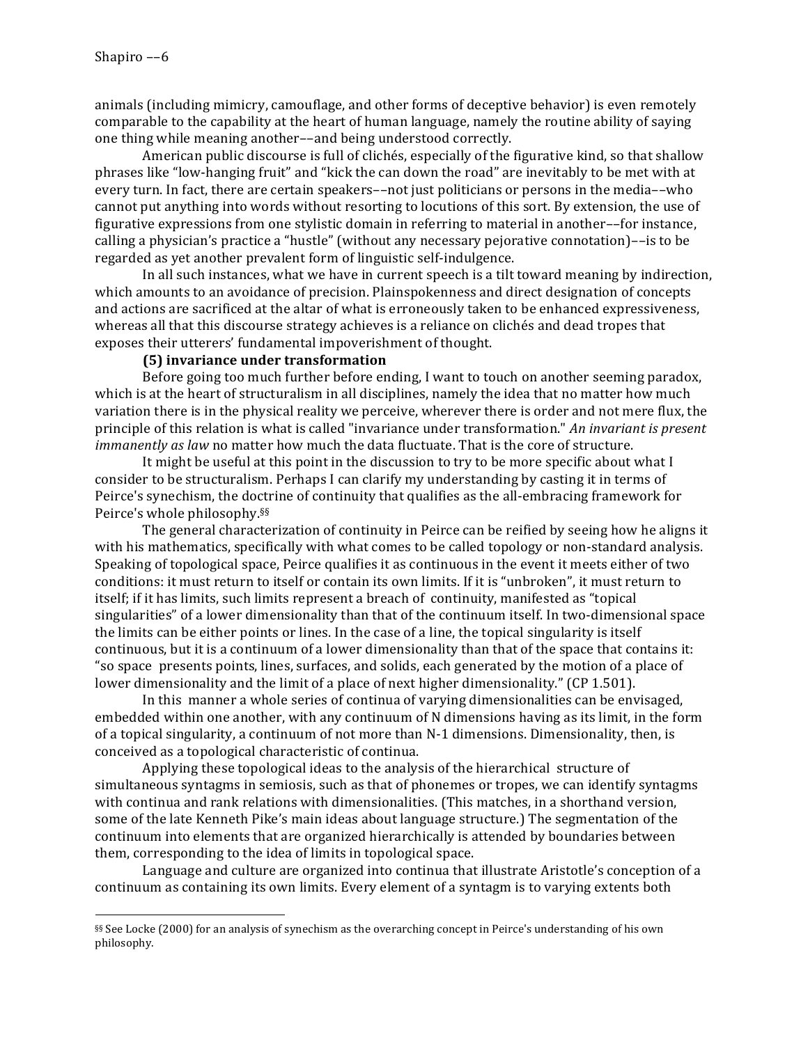animals (including mimicry, camouflage, and other forms of deceptive behavior) is even remotely comparable to the capability at the heart of human language, namely the routine ability of saying one thing while meaning another––and being understood correctly.

American public discourse is full of clichés, especially of the figurative kind, so that shallow phrases like "low-hanging fruit" and "kick the can down the road" are inevitably to be met with at every turn. In fact, there are certain speakers––not just politicians or persons in the media––who cannot put anything into words without resorting to locutions of this sort. By extension, the use of figurative expressions from one stylistic domain in referring to material in another––for instance, calling a physician's practice a "hustle" (without any necessary pejorative connotation)––is to be regarded as yet another prevalent form of linguistic self-indulgence.

In all such instances, what we have in current speech is a tilt toward meaning by indirection, which amounts to an avoidance of precision. Plainspokenness and direct designation of concepts and actions are sacrificed at the altar of what is erroneously taken to be enhanced expressiveness, whereas all that this discourse strategy achieves is a reliance on clichés and dead tropes that exposes their utterers' fundamental impoverishment of thought.

## **(5) invariance under transformation**

 $($ 

Before going too much further before ending, I want to touch on another seeming paradox, which is at the heart of structuralism in all disciplines, namely the idea that no matter how much variation there is in the physical reality we perceive, wherever there is order and not mere flux, the principle of this relation is what is called "invariance under transformation." An invariant is present *immanently as law* no matter how much the data fluctuate. That is the core of structure.

It might be useful at this point in the discussion to try to be more specific about what  $I$ consider to be structuralism. Perhaps I can clarify my understanding by casting it in terms of Peirce's synechism, the doctrine of continuity that qualifies as the all-embracing framework for Peirce's whole philosophy.§§

The general characterization of continuity in Peirce can be reified by seeing how he aligns it with his mathematics, specifically with what comes to be called topology or non-standard analysis. Speaking of topological space, Peirce qualifies it as continuous in the event it meets either of two conditions: it must return to itself or contain its own limits. If it is "unbroken", it must return to itself; if it has limits, such limits represent a breach of continuity, manifested as "topical singularities" of a lower dimensionality than that of the continuum itself. In two-dimensional space the limits can be either points or lines. In the case of a line, the topical singularity is itself continuous, but it is a continuum of a lower dimensionality than that of the space that contains it: "so space presents points, lines, surfaces, and solids, each generated by the motion of a place of lower dimensionality and the limit of a place of next higher dimensionality." (CP 1.501).

In this manner a whole series of continua of varying dimensionalities can be envisaged, embedded within one another, with any continuum of N dimensions having as its limit, in the form of a topical singularity, a continuum of not more than  $N-1$  dimensions. Dimensionality, then, is conceived as a topological characteristic of continua.

Applying these topological ideas to the analysis of the hierarchical structure of simultaneous syntagms in semiosis, such as that of phonemes or tropes, we can identify syntagms with continua and rank relations with dimensionalities. (This matches, in a shorthand version, some of the late Kenneth Pike's main ideas about language structure.) The segmentation of the continuum into elements that are organized hierarchically is attended by boundaries between them, corresponding to the idea of limits in topological space.

Language and culture are organized into continua that illustrate Aristotle's conception of a continuum as containing its own limits. Every element of a syntagm is to varying extents both

<sup>§§</sup> See Locke (2000) for an analysis of synechism as the overarching concept in Peirce's understanding of his own philosophy.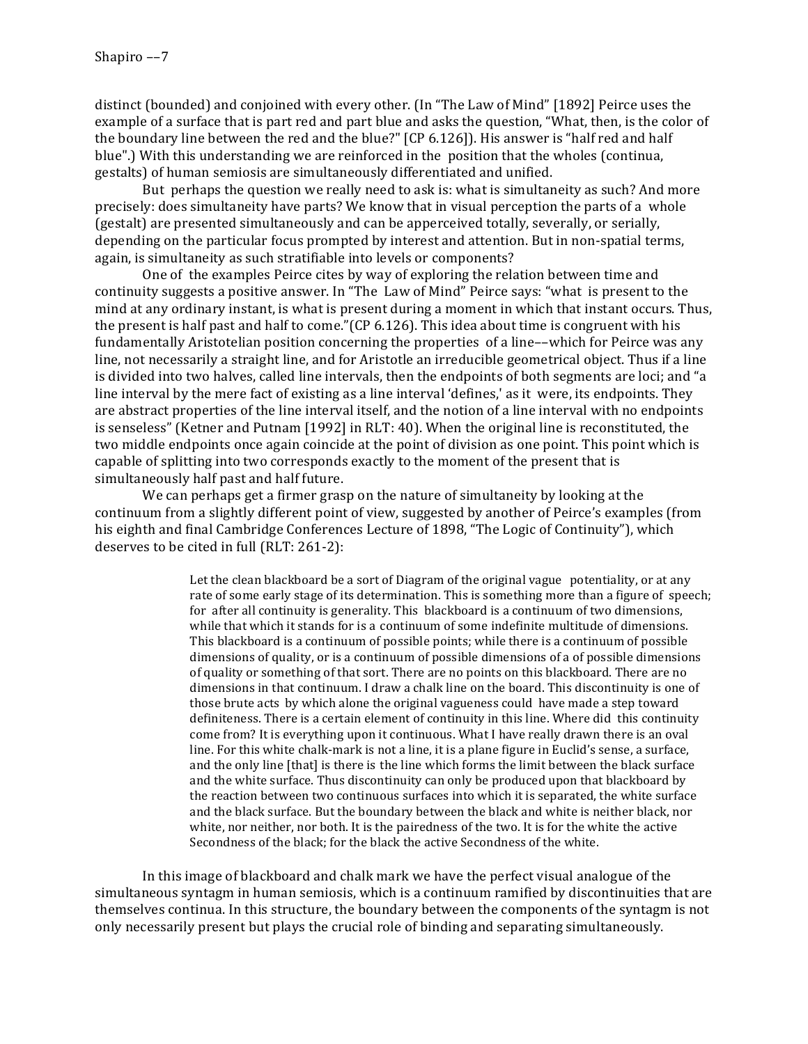distinct (bounded) and conjoined with every other. (In "The Law of Mind" [1892] Peirce uses the example of a surface that is part red and part blue and asks the question, "What, then, is the color of the boundary line between the red and the blue?" [CP 6.126]). His answer is "half red and half blue".) With this understanding we are reinforced in the position that the wholes (continua, gestalts) of human semiosis are simultaneously differentiated and unified.

But perhaps the question we really need to ask is: what is simultaneity as such? And more precisely: does simultaneity have parts? We know that in visual perception the parts of a whole (gestalt) are presented simultaneously and can be apperceived totally, severally, or serially, depending on the particular focus prompted by interest and attention. But in non-spatial terms, again, is simultaneity as such stratifiable into levels or components?

One of the examples Peirce cites by way of exploring the relation between time and continuity suggests a positive answer. In "The Law of Mind" Peirce says: "what is present to the mind at any ordinary instant, is what is present during a moment in which that instant occurs. Thus, the present is half past and half to come."(CP 6.126). This idea about time is congruent with his fundamentally Aristotelian position concerning the properties of a line––which for Peirce was any line, not necessarily a straight line, and for Aristotle an irreducible geometrical object. Thus if a line is divided into two halves, called line intervals, then the endpoints of both segments are loci; and "a line interval by the mere fact of existing as a line interval 'defines,' as it were, its endpoints. They are abstract properties of the line interval itself, and the notion of a line interval with no endpoints is senseless" (Ketner and Putnam [1992] in RLT: 40). When the original line is reconstituted. the two middle endpoints once again coincide at the point of division as one point. This point which is capable of splitting into two corresponds exactly to the moment of the present that is simultaneously half past and half future.

We can perhaps get a firmer grasp on the nature of simultaneity by looking at the continuum from a slightly different point of view, suggested by another of Peirce's examples (from his eighth and final Cambridge Conferences Lecture of 1898, "The Logic of Continuity"), which deserves to be cited in full (RLT:  $261-2$ ):

> Let the clean blackboard be a sort of Diagram of the original vague potentiality, or at any rate of some early stage of its determination. This is something more than a figure of speech; for  $\alpha$  after all continuity is generality. This blackboard is a continuum of two dimensions, while that which it stands for is a continuum of some indefinite multitude of dimensions. This blackboard is a continuum of possible points; while there is a continuum of possible dimensions of quality, or is a continuum of possible dimensions of a of possible dimensions of quality or something of that sort. There are no points on this blackboard. There are no dimensions in that continuum. I draw a chalk line on the board. This discontinuity is one of those brute acts by which alone the original vagueness could have made a step toward definiteness. There is a certain element of continuity in this line. Where did this continuity come from? It is everything upon it continuous. What I have really drawn there is an oval line. For this white chalk-mark is not a line, it is a plane figure in Euclid's sense, a surface, and the only line [that] is there is the line which forms the limit between the black surface and the white surface. Thus discontinuity can only be produced upon that blackboard by the reaction between two continuous surfaces into which it is separated, the white surface and the black surface. But the boundary between the black and white is neither black, nor white, nor neither, nor both. It is the pairedness of the two. It is for the white the active Secondness of the black; for the black the active Secondness of the white.

In this image of blackboard and chalk mark we have the perfect visual analogue of the simultaneous syntagm in human semiosis, which is a continuum ramified by discontinuities that are themselves continua. In this structure, the boundary between the components of the syntagm is not only necessarily present but plays the crucial role of binding and separating simultaneously.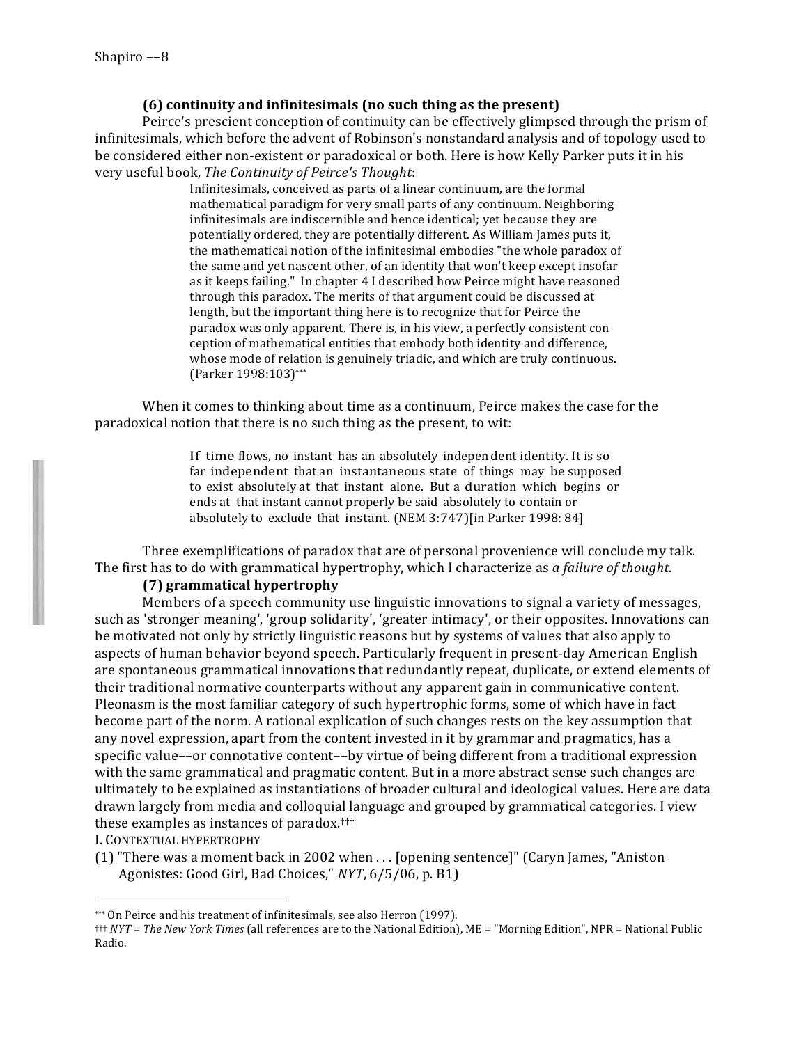# **(6)%continuity%and%infinitesimals%(no%such%thing%as%the%present)**

Peirce's prescient conception of continuity can be effectively glimpsed through the prism of infinitesimals, which before the advent of Robinson's nonstandard analysis and of topology used to be considered either non-existent or paradoxical or both. Here is how Kelly Parker puts it in his very useful book, *The Continuity of Peirce's Thought*:

> Infinitesimals, conceived as parts of a linear continuum, are the formal mathematical paradigm for very small parts of any continuum. Neighboring infinitesimals are indiscernible and hence identical; yet because they are potentially ordered, they are potentially different. As William James puts it, the mathematical notion of the infinitesimal embodies "the whole paradox of the same and yet nascent other, of an identity that won't keep except insofar as it keeps failing." In chapter 4 I described how Peirce might have reasoned through this paradox. The merits of that argument could be discussed at length, but the important thing here is to recognize that for Peirce the paradox was only apparent. There is, in his view, a perfectly consistent con ception of mathematical entities that embody both identity and difference, whose mode of relation is genuinely triadic, and which are truly continuous. (Parker 1998:103)\*\*\*

When it comes to thinking about time as a continuum, Peirce makes the case for the paradoxical notion that there is no such thing as the present, to wit:

> If time flows, no instant has an absolutely independent identity. It is so far independent that an instantaneous state of things may be supposed to exist absolutely at that instant alone. But a duration which begins or ends at that instant cannot properly be said absolutely to contain or absolutely to exclude that instant. (NEM 3:747)[in Parker 1998: 84]

Three exemplifications of paradox that are of personal provenience will conclude my talk. The first has to do with grammatical hypertrophy, which I characterize as *a failure of thought*.

# **(7)%grammatical%hypertrophy**

Members of a speech community use linguistic innovations to signal a variety of messages, such as 'stronger meaning', 'group solidarity', 'greater intimacy', or their opposites. Innovations can be motivated not only by strictly linguistic reasons but by systems of values that also apply to aspects of human behavior beyond speech. Particularly frequent in present-day American English are spontaneous grammatical innovations that redundantly repeat, duplicate, or extend elements of their traditional normative counterparts without any apparent gain in communicative content. Pleonasm is the most familiar category of such hypertrophic forms, some of which have in fact become part of the norm. A rational explication of such changes rests on the key assumption that any novel expression, apart from the content invested in it by grammar and pragmatics, has a specific value––or connotative content––by virtue of being different from a traditional expression with the same grammatical and pragmatic content. But in a more abstract sense such changes are ultimately to be explained as instantiations of broader cultural and ideological values. Here are data drawn largely from media and colloquial language and grouped by grammatical categories. I view these examples as instances of paradox.<sup>†††</sup>

I. CONTEXTUAL HYPERTROPHY

(((((((((((((((((((((((((((((((((((((((((((((((((((((((

(1) "There was a moment back in 2002 when  $\ldots$  [opening sentence]" (Caryn James, "Aniston Agonistes: Good Girl, Bad Choices," *NYT*, 6/5/06, p. B1)

<sup>\*\*\*</sup> On Peirce and his treatment of infinitesimals, see also Herron (1997).

<sup>&</sup>lt;sup>†††</sup> *NYT* = *The New York Times* (all references are to the National Edition), ME = "Morning Edition", NPR = National Public Radio.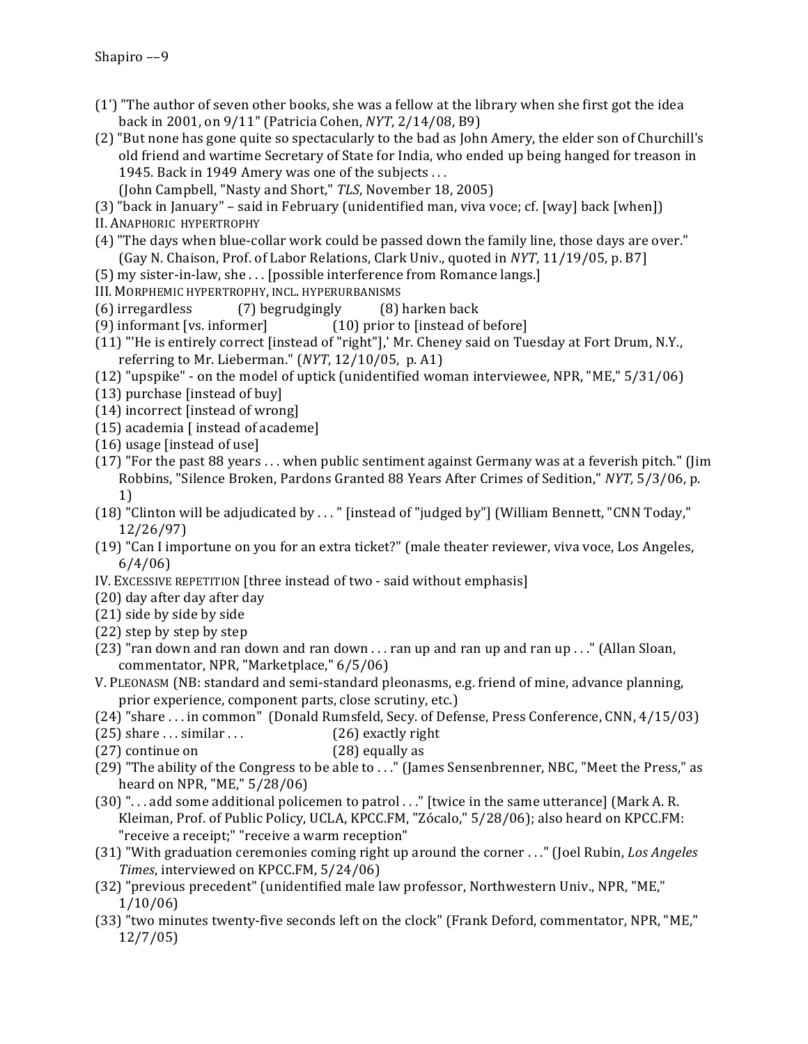- $(1')$  "The author of seven other books, she was a fellow at the library when she first got the idea back in 2001, on 9/11" (Patricia Cohen, *NYT*, 2/14/08, B9)
- (2) "But none has gone quite so spectacularly to the bad as John Amery, the elder son of Churchill's old friend and wartime Secretary of State for India, who ended up being hanged for treason in 1945. Back in 1949 Amery was one of the subjects  $\dots$ 
	- (John Campbell, "Nasty and Short," TLS, November 18, 2005)

(3) "back in January" – said in February (unidentified man, viva voce; cf. [way] back [when]) II. ANAPHORIC HYPERTROPHY

- $(4)$  "The days when blue-collar work could be passed down the family line, those days are over." (Gay N. Chaison, Prof. of Labor Relations, Clark Univ., quoted in *NYT*, 11/19/05, p. B7]
- (5) my sister-in-law, she  $\dots$  [possible interference from Romance langs.]
- III. MORPHEMIC HYPERTROPHY, INCL. HYPERURBANISMS
- (6) irregardless (7) begrudgingly (8) harken back
- (9) informant [vs. informer]  $(10)$  prior to [instead of before]
- $(11)$  "'He is entirely correct [instead of "right"],' Mr. Cheney said on Tuesday at Fort Drum, N.Y., referring to Mr. Lieberman."  $(NYT, 12/10/05, p. A1)$
- (12) "upspike" on the model of uptick (unidentified woman interviewee, NPR, "ME,"  $5/31/06$ )
- $(13)$  purchase [instead of buy]
- $(14)$  incorrect [instead of wrong]
- (15) academia [instead of academe]
- $(16)$  usage [instead of use]
- (17) "For the past 88 years  $\dots$  when public sentiment against Germany was at a feverish pitch." (Jim Robbins, "Silence Broken, Pardons Granted 88 Years After Crimes of Sedition," *NYT*, 5/3/06, p. 1)
- (18) "Clinton will be adjudicated by ..." [instead of "judged by"] (William Bennett, "CNN Today," 12/26/97)
- (19) "Can I importune on you for an extra ticket?" (male theater reviewer, viva voce, Los Angeles, 6/4/06)
- IV. EXCESSIVE REPETITION [three instead of two said without emphasis]
- $(20)$  day after day after day
- $(21)$  side by side by side
- $(22)$  step by step by step
- (23) "ran down and ran down and ran down ... ran up and ran up and ran up ..." (Allan Sloan, commentator, NPR, "Marketplace," 6/5/06)
- V. PLEONASM (NB: standard and semi-standard pleonasms, e.g. friend of mine, advance planning, prior experience, component parts, close scrutiny, etc.)
- (24) "share ... in common" (Donald Rumsfeld, Secy. of Defense, Press Conference, CNN, 4/15/03)
- $(25)$  share ... similar ... (26) exactly right
- $(27)$  continue on  $(28)$  equally as
- (29) "The ability of the Congress to be able to  $\dots$ ." (James Sensenbrenner, NBC, "Meet the Press," as heard on NPR, "ME,"  $5/28/06$ )
- (30)"...add some additional policemen to patrol ..." [twice in the same utterance] (Mark A.R. Kleiman, Prof. of Public Policy, UCLA, KPCC.FM, "Zócalo," 5/28/06); also heard on KPCC.FM: "receive a receipt;" "receive a warm reception"
- (31) "With graduation ceremonies coming right up around the corner ..." (Joel Rubin, *Los Angeles Times*, interviewed on KPCC.FM, 5/24/06)
- (32) "previous precedent" (unidentified male law professor, Northwestern Univ., NPR, "ME," 1/10/06)
- (33) "two minutes twenty-five seconds left on the clock" (Frank Deford, commentator, NPR, "ME," 12/7/05)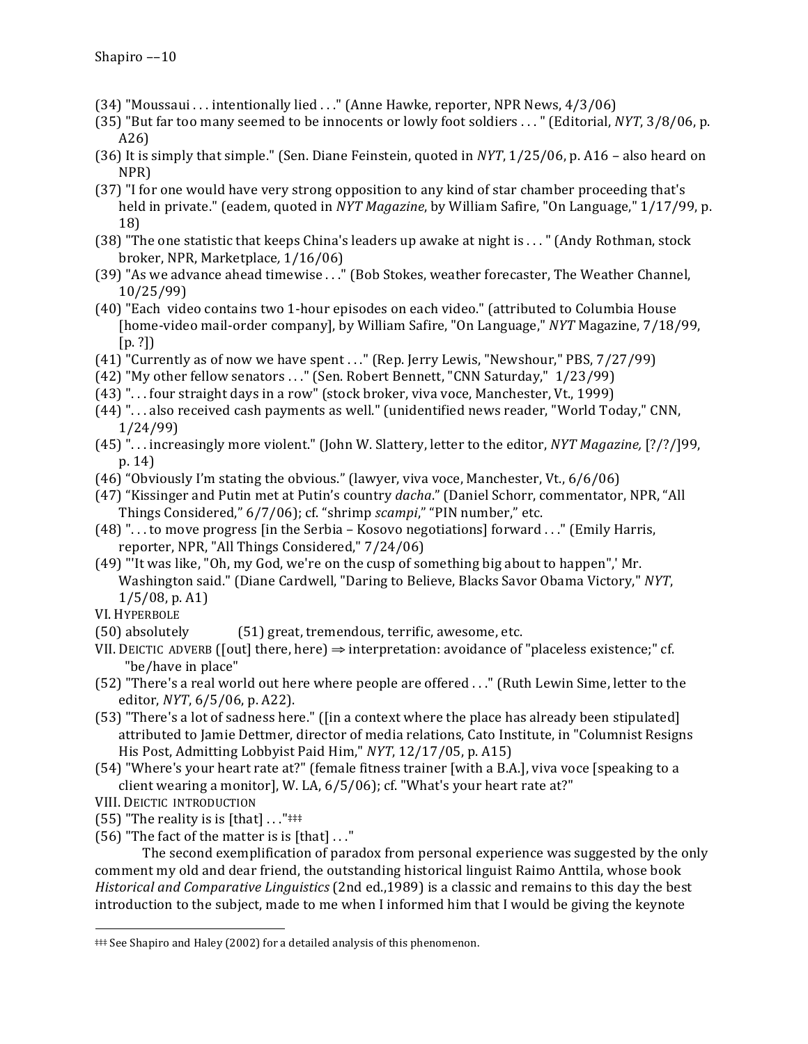- (34) "Moussaui...intentionally lied..." (Anne Hawke, reporter, NPR News,  $4/3/06$ )
- (35) "But far too many seemed to be innocents or lowly foot soldiers..." (Editorial, NYT,  $3/8/06$ , p. A26)
- (36) It is simply that simple." (Sen. Diane Feinstein, quoted in  $NYT$ ,  $1/25/06$ , p. A16 also heard on NPR)
- (37) "I for one would have very strong opposition to any kind of star chamber proceeding that's held in private." (eadem, quoted in *NYT Magazine*, by William Safire, "On Language," 1/17/99, p. 18)
- (38) "The one statistic that keeps China's leaders up awake at night is  $\dots$ ." (Andy Rothman, stock) broker, NPR, Marketplace, 1/16/06)
- (39) "As we advance ahead timewise . . ." (Bob Stokes, weather forecaster, The Weather Channel, 10/25/99)
- $(40)$  "Each video contains two 1-hour episodes on each video." (attributed to Columbia House) [home-video mail-order company], by William Safire, "On Language," *NYT* Magazine, 7/18/99,  $[p, ?]$
- (41) "Currently as of now we have spent  $\dots$ " (Rep. Jerry Lewis, "Newshour," PBS, 7/27/99)
- (42) "My other fellow senators . . ." (Sen. Robert Bennett, "CNN Saturday," 1/23/99)
- $(43)$ "...four straight days in a row" (stock broker, viva voce, Manchester, Vt., 1999)
- $(44)$ "...also received cash payments as well." (unidentified news reader, "World Today," CNN, 1/24/99)
- (45)"...increasingly more violent." (John W. Slattery, letter to the editor, *NYT Magazine*, [?/?/]99, p. 14)
- (46) "Obviously I'm stating the obvious." (lawyer, viva voce, Manchester, Vt.,  $6/6/06$ )
- (47) "Kissinger and Putin met at Putin's country *dacha.*" (Daniel Schorr, commentator, NPR, "All Things Considered,"  $6/7/06$ ); cf. "shrimp *scampi*," "PIN number," etc.
- (48)"...to move progress (in the Serbia Kosovo negotiations) forward ..." (Emily Harris, reporter, NPR, "All Things Considered," 7/24/06)
- (49) "It was like, "Oh, my God, we're on the cusp of something big about to happen",' Mr. Washington said." (Diane Cardwell, "Daring to Believe, Blacks Savor Obama Victory," NYT,  $1/5/08$ , p. A1)
- VI. HYPERBOLE
- $(50)$  absolutely  $(51)$  great, tremendous, terrific, awesome, etc.
- VII. DEICTIC ADVERB ([out] there, here)  $\Rightarrow$  interpretation: avoidance of "placeless existence;" cf. "be/have in place"
- (52) "There's a real world out here where people are offered . . ." (Ruth Lewin Sime, letter to the editor, *NYT*, 6/5/06, p. A22).
- (53) "There's a lot of sadness here." ((in a context where the place has already been stipulated) attributed to Jamie Dettmer, director of media relations, Cato Institute, in "Columnist Resigns His Post, Admitting Lobbyist Paid Him," *NYT*, 12/17/05, p. A15)
- (54) "Where's your heart rate at?" (female fitness trainer [with a B.A.], viva voce [speaking to a client wearing a monitor], W. LA,  $6/5/06$ ); cf. "What's your heart rate at?"
- VIII. DEICTIC INTRODUCTION
- (55) "The reality is is [that]  $\dots$ "##

 $($ 

(56) "The fact of the matter is is  $[that] \dots$ "

The second exemplification of paradox from personal experience was suggested by the only comment my old and dear friend, the outstanding historical linguist Raimo Anttila, whose book *Historical and Comparative Linguistics* (2nd ed.,1989) is a classic and remains to this day the best introduction to the subject, made to me when I informed him that I would be giving the keynote

<sup>###</sup> See Shapiro and Haley (2002) for a detailed analysis of this phenomenon.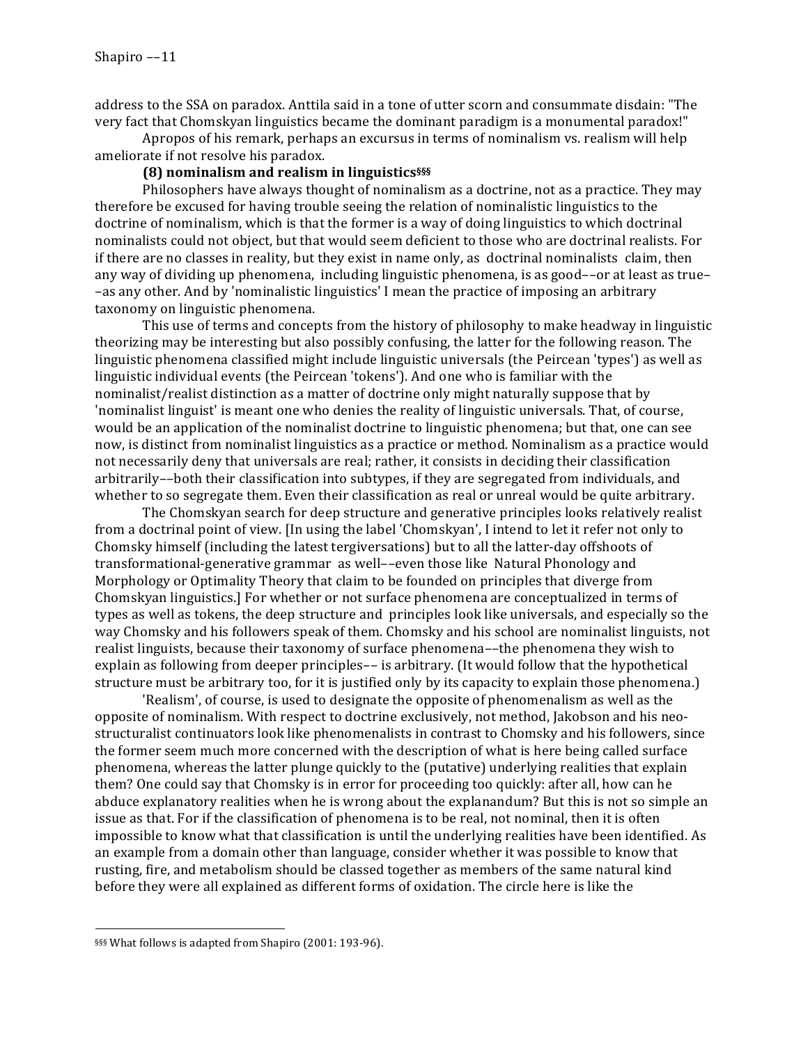address to the SSA on paradox. Anttila said in a tone of utter scorn and consummate disdain: "The very fact that Chomskyan linguistics became the dominant paradigm is a monumental paradox!"

Apropos of his remark, perhaps an excursus in terms of nominalism vs. realism will help ameliorate if not resolve his paradox.

#### **(8) nominalism and realism in linguistics**§§§

Philosophers have always thought of nominalism as a doctrine, not as a practice. They may therefore be excused for having trouble seeing the relation of nominalistic linguistics to the doctrine of nominalism, which is that the former is a way of doing linguistics to which doctrinal nominalists could not object, but that would seem deficient to those who are doctrinal realists. For if there are no classes in reality, but they exist in name only, as doctrinal nominalists claim, then any way of dividing up phenomena, including linguistic phenomena, is as good––or at least as true– –as any other. And by 'nominalistic linguistics' I mean the practice of imposing an arbitrary taxonomy on linguistic phenomena.

This use of terms and concepts from the history of philosophy to make headway in linguistic theorizing may be interesting but also possibly confusing, the latter for the following reason. The linguistic phenomena classified might include linguistic universals (the Peircean 'types') as well as linguistic individual events (the Peircean 'tokens'). And one who is familiar with the nominalist/realist distinction as a matter of doctrine only might naturally suppose that by 'nominalist linguist' is meant one who denies the reality of linguistic universals. That, of course, would be an application of the nominalist doctrine to linguistic phenomena; but that, one can see now, is distinct from nominalist linguistics as a practice or method. Nominalism as a practice would not necessarily deny that universals are real; rather, it consists in deciding their classification arbitrarily--both their classification into subtypes, if they are segregated from individuals, and whether to so segregate them. Even their classification as real or unreal would be quite arbitrary.

The Chomskyan search for deep structure and generative principles looks relatively realist from a doctrinal point of view. [In using the label 'Chomskyan', I intend to let it refer not only to Chomsky himself (including the latest tergiversations) but to all the latter-day offshoots of transformational-generative grammar as well––even those like Natural Phonology and Morphology or Optimality Theory that claim to be founded on principles that diverge from Chomskyan linguistics.] For whether or not surface phenomena are conceptualized in terms of types as well as tokens, the deep structure and principles look like universals, and especially so the way Chomsky and his followers speak of them. Chomsky and his school are nominalist linguists, not realist linguists, because their taxonomy of surface phenomena––the phenomena they wish to explain as following from deeper principles-– is arbitrary. (It would follow that the hypothetical structure must be arbitrary too, for it is justified only by its capacity to explain those phenomena.)

'Realism', of course, is used to designate the opposite of phenomenalism as well as the opposite of nominalism. With respect to doctrine exclusively, not method, Jakobson and his neostructuralist continuators look like phenomenalists in contrast to Chomsky and his followers, since the former seem much more concerned with the description of what is here being called surface phenomena, whereas the latter plunge quickly to the (putative) underlying realities that explain them? One could say that Chomsky is in error for proceeding too quickly: after all, how can he abduce explanatory realities when he is wrong about the explanandum? But this is not so simple an issue as that. For if the classification of phenomena is to be real, not nominal, then it is often impossible to know what that classification is until the underlying realities have been identified. As an example from a domain other than language, consider whether it was possible to know that rusting, fire, and metabolism should be classed together as members of the same natural kind before they were all explained as different forms of oxidation. The circle here is like the

<sup>§§§</sup> What follows is adapted from Shapiro (2001: 193-96).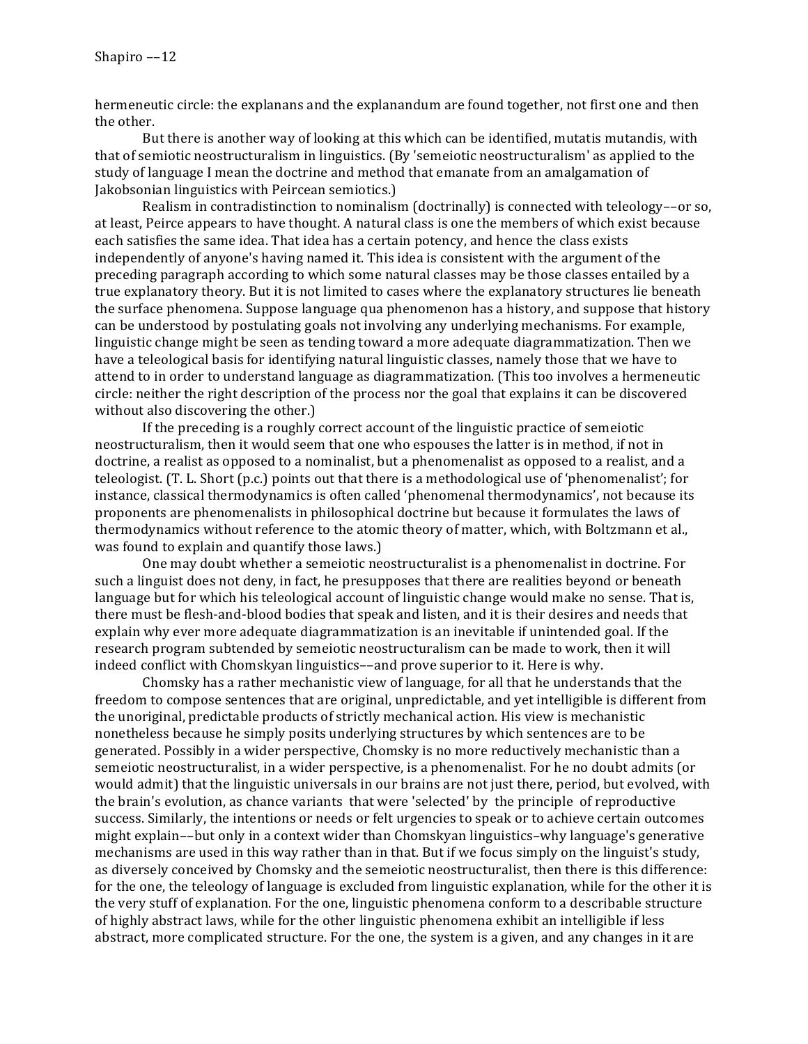hermeneutic circle: the explanans and the explanandum are found together, not first one and then the other.

But there is another way of looking at this which can be identified, mutatis mutandis, with that of semiotic neostructuralism in linguistics. (By 'semeiotic neostructuralism' as applied to the study of language I mean the doctrine and method that emanate from an amalgamation of Jakobsonian linguistics with Peircean semiotics.)

Realism in contradistinction to nominalism (doctrinally) is connected with teleology––or so, at least, Peirce appears to have thought. A natural class is one the members of which exist because each satisfies the same idea. That idea has a certain potency, and hence the class exists independently of anyone's having named it. This idea is consistent with the argument of the preceding paragraph according to which some natural classes may be those classes entailed by a true explanatory theory. But it is not limited to cases where the explanatory structures lie beneath the surface phenomena. Suppose language qua phenomenon has a history, and suppose that history can be understood by postulating goals not involving any underlying mechanisms. For example, linguistic change might be seen as tending toward a more adequate diagrammatization. Then we have a teleological basis for identifying natural linguistic classes, namely those that we have to attend to in order to understand language as diagrammatization. (This too involves a hermeneutic circle: neither the right description of the process nor the goal that explains it can be discovered without also discovering the other.)

If the preceding is a roughly correct account of the linguistic practice of semeiotic neostructuralism, then it would seem that one who espouses the latter is in method, if not in doctrine, a realist as opposed to a nominalist, but a phenomenalist as opposed to a realist, and a teleologist. (T. L. Short (p.c.) points out that there is a methodological use of 'phenomenalist'; for instance, classical thermodynamics is often called 'phenomenal thermodynamics', not because its proponents are phenomenalists in philosophical doctrine but because it formulates the laws of thermodynamics without reference to the atomic theory of matter, which, with Boltzmann et al., was found to explain and quantify those laws.)

(One may doubt whether a semeiotic neostructuralist is a phenomenalist in doctrine. For such a linguist does not deny, in fact, he presupposes that there are realities beyond or beneath language but for which his teleological account of linguistic change would make no sense. That is, there must be flesh-and-blood bodies that speak and listen, and it is their desires and needs that explain why ever more adequate diagrammatization is an inevitable if unintended goal. If the research program subtended by semeiotic neostructuralism can be made to work, then it will indeed conflict with Chomskyan linguistics––and prove superior to it. Here is why.

Chomsky has a rather mechanistic view of language, for all that he understands that the freedom to compose sentences that are original, unpredictable, and yet intelligible is different from the unoriginal, predictable products of strictly mechanical action. His view is mechanistic nonetheless because he simply posits underlying structures by which sentences are to be generated. Possibly in a wider perspective, Chomsky is no more reductively mechanistic than a semeiotic neostructuralist, in a wider perspective, is a phenomenalist. For he no doubt admits (or would admit) that the linguistic universals in our brains are not just there, period, but evolved, with the brain's evolution, as chance variants that were 'selected' by the principle of reproductive success. Similarly, the intentions or needs or felt urgencies to speak or to achieve certain outcomes might explain––but only in a context wider than Chomskyan linguistics–why language's generative mechanisms are used in this way rather than in that. But if we focus simply on the linguist's study, as diversely conceived by Chomsky and the semeiotic neostructuralist, then there is this difference: for the one, the teleology of language is excluded from linguistic explanation, while for the other it is the very stuff of explanation. For the one, linguistic phenomena conform to a describable structure of highly abstract laws, while for the other linguistic phenomena exhibit an intelligible if less abstract, more complicated structure. For the one, the system is a given, and any changes in it are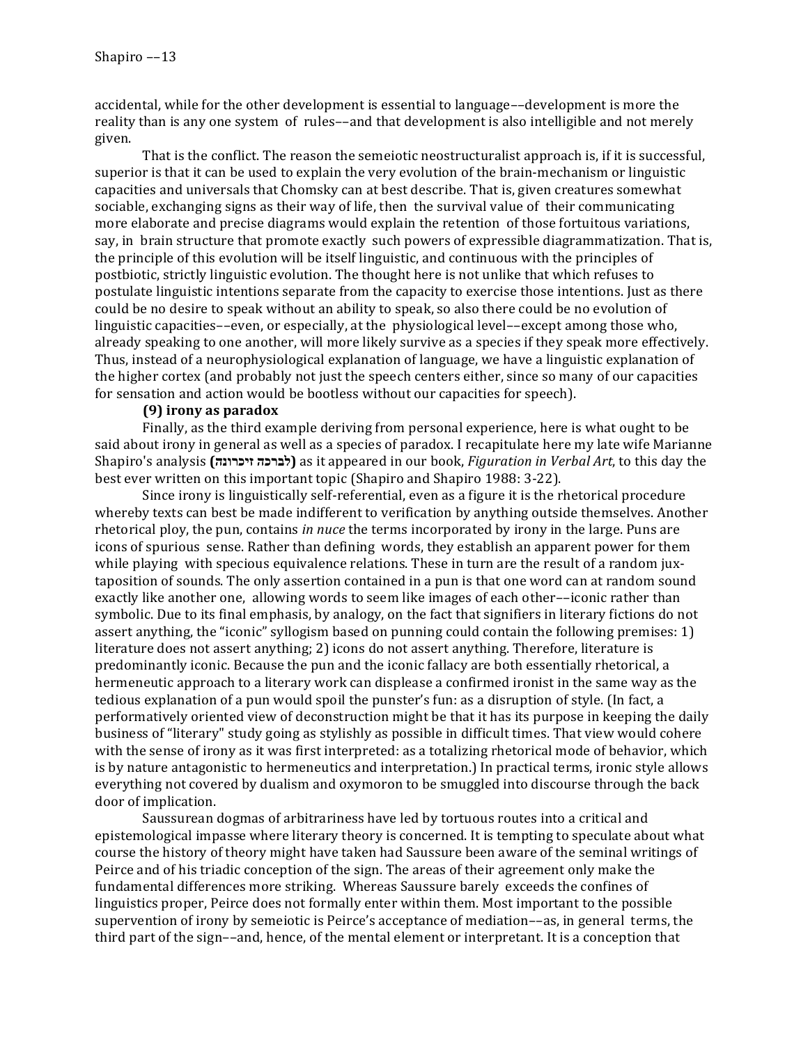accidental, while for the other development is essential to language––development is more the reality than is any one system of rules––and that development is also intelligible and not merely given.

That is the conflict. The reason the semeiotic neostructuralist approach is, if it is successful, superior is that it can be used to explain the very evolution of the brain-mechanism or linguistic capacities and universals that Chomsky can at best describe. That is, given creatures somewhat sociable, exchanging signs as their way of life, then the survival value of their communicating more elaborate and precise diagrams would explain the retention of those fortuitous variations, say, in brain structure that promote exactly such powers of expressible diagrammatization. That is, the principle of this evolution will be itself linguistic, and continuous with the principles of postbiotic, strictly linguistic evolution. The thought here is not unlike that which refuses to postulate linguistic intentions separate from the capacity to exercise those intentions. Just as there could be no desire to speak without an ability to speak, so also there could be no evolution of linguistic capacities––even, or especially, at the physiological level––except among those who, already speaking to one another, will more likely survive as a species if they speak more effectively. Thus, instead of a neurophysiological explanation of language, we have a linguistic explanation of the higher cortex (and probably not just the speech centers either, since so many of our capacities for sensation and action would be bootless without our capacities for speech).

# **(9)%irony%as%paradox**

Finally, as the third example deriving from personal experience, here is what ought to be said about irony in general as well as a species of paradox. I recapitulate here my late wife Marianne Shapiro's(analysis **(זיכרונה לברכה (**as(it(appeared in(our(book, *Figuration\*in\*Verbal\*Art*, to(this(day the( best ever written on this important topic (Shapiro and Shapiro 1988: 3-22).

Since irony is linguistically self-referential, even as a figure it is the rhetorical procedure whereby texts can best be made indifferent to verification by anything outside themselves. Another rhetorical ploy, the pun, contains *in nuce* the terms incorporated by irony in the large. Puns are icons of spurious sense. Rather than defining words, they establish an apparent power for them while playing with specious equivalence relations. These in turn are the result of a random juxtaposition of sounds. The only assertion contained in a pun is that one word can at random sound exactly like another one, allowing words to seem like images of each other-–iconic rather than symbolic. Due to its final emphasis, by analogy, on the fact that signifiers in literary fictions do not assert anything, the "iconic" syllogism based on punning could contain the following premises: 1) literature does not assert anything; 2) icons do not assert anything. Therefore, literature is predominantly iconic. Because the pun and the iconic fallacy are both essentially rhetorical, a hermeneutic approach to a literary work can displease a confirmed ironist in the same way as the tedious explanation of a pun would spoil the punster's fun: as a disruption of style. (In fact, a performatively oriented view of deconstruction might be that it has its purpose in keeping the daily business of "literary" study going as stylishly as possible in difficult times. That view would cohere with the sense of irony as it was first interpreted: as a totalizing rhetorical mode of behavior, which is by nature antagonistic to hermeneutics and interpretation.) In practical terms, ironic style allows everything not covered by dualism and oxymoron to be smuggled into discourse through the back door of implication.

Saussurean dogmas of arbitrariness have led by tortuous routes into a critical and epistemological impasse where literary theory is concerned. It is tempting to speculate about what course the history of theory might have taken had Saussure been aware of the seminal writings of Peirce and of his triadic conception of the sign. The areas of their agreement only make the fundamental differences more striking. Whereas Saussure barely exceeds the confines of linguistics proper, Peirce does not formally enter within them. Most important to the possible supervention of irony by semeiotic is Peirce's acceptance of mediation––as, in general terms, the third part of the sign––and, hence, of the mental element or interpretant. It is a conception that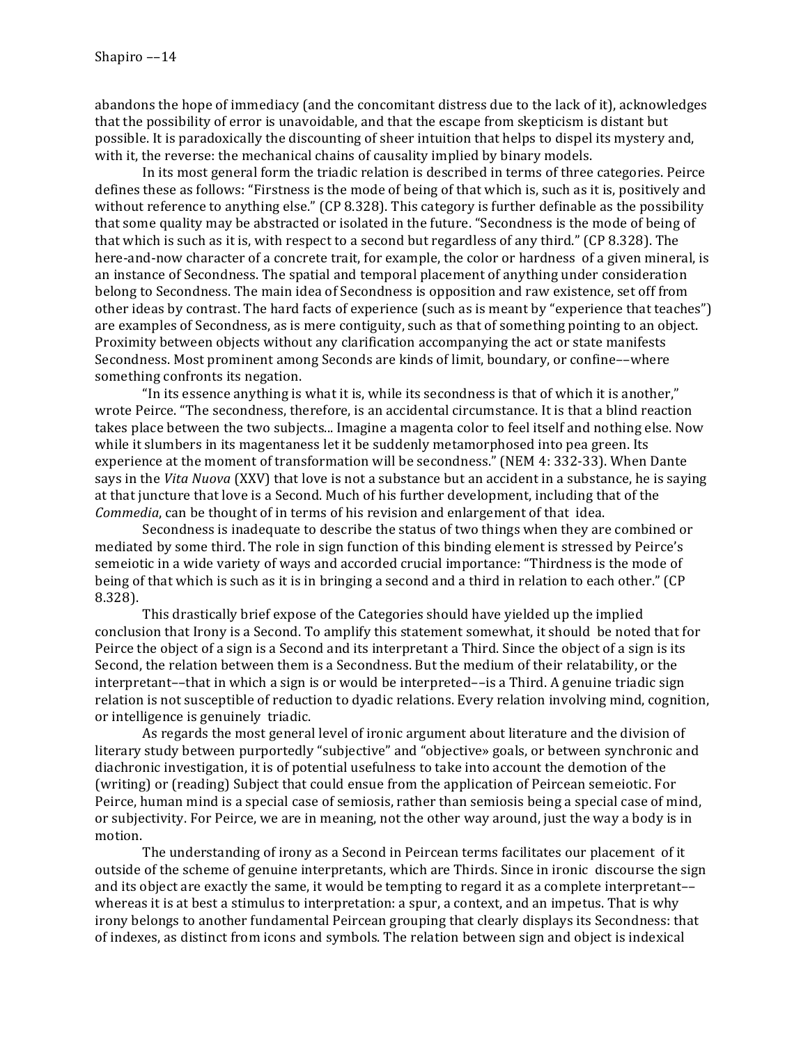abandons the hope of immediacy (and the concomitant distress due to the lack of it), acknowledges that the possibility of error is unavoidable, and that the escape from skepticism is distant but possible. It is paradoxically the discounting of sheer intuition that helps to dispel its mystery and, with it, the reverse: the mechanical chains of causality implied by binary models.

In its most general form the triadic relation is described in terms of three categories. Peirce defines these as follows: "Firstness is the mode of being of that which is, such as it is, positively and without reference to anything else." (CP 8.328). This category is further definable as the possibility that some quality may be abstracted or isolated in the future. "Secondness is the mode of being of that which is such as it is, with respect to a second but regardless of any third." (CP 8.328). The here-and-now character of a concrete trait, for example, the color or hardness of a given mineral, is an instance of Secondness. The spatial and temporal placement of anything under consideration belong to Secondness. The main idea of Secondness is opposition and raw existence, set off from other ideas by contrast. The hard facts of experience (such as is meant by "experience that teaches") are examples of Secondness, as is mere contiguity, such as that of something pointing to an object. Proximity between objects without any clarification accompanying the act or state manifests Secondness. Most prominent among Seconds are kinds of limit, boundary, or confine––where something confronts its negation.

"In its essence anything is what it is, while its secondness is that of which it is another," wrote Peirce. "The secondness, therefore, is an accidental circumstance. It is that a blind reaction takes place between the two subjects... Imagine a magenta color to feel itself and nothing else. Now while it slumbers in its magentaness let it be suddenly metamorphosed into pea green. Its experience at the moment of transformation will be secondness." (NEM 4: 332-33). When Dante says in the *Vita Nuova* (XXV) that love is not a substance but an accident in a substance, he is saying at that juncture that love is a Second. Much of his further development, including that of the *Commedia*, can be thought of in terms of his revision and enlargement of that idea.

Secondness is inadequate to describe the status of two things when they are combined or mediated by some third. The role in sign function of this binding element is stressed by Peirce's semeiotic in a wide variety of ways and accorded crucial importance: "Thirdness is the mode of being of that which is such as it is in bringing a second and a third in relation to each other." (CP 8.328).

This drastically brief expose of the Categories should have yielded up the implied conclusion that Irony is a Second. To amplify this statement somewhat, it should be noted that for Peirce the object of a sign is a Second and its interpretant a Third. Since the object of a sign is its Second, the relation between them is a Secondness. But the medium of their relatability, or the interpretant––that in which a sign is or would be interpreted––is a Third. A genuine triadic sign relation is not susceptible of reduction to dyadic relations. Every relation involving mind, cognition, or intelligence is genuinely triadic.

As regards the most general level of ironic argument about literature and the division of literary study between purportedly "subjective" and "objective» goals, or between synchronic and diachronic investigation, it is of potential usefulness to take into account the demotion of the (writing) or (reading) Subject that could ensue from the application of Peircean semeiotic. For Peirce, human mind is a special case of semiosis, rather than semiosis being a special case of mind, or subjectivity. For Peirce, we are in meaning, not the other way around, just the way a body is in motion.

The understanding of irony as a Second in Peircean terms facilitates our placement of it outside of the scheme of genuine interpretants, which are Thirds. Since in ironic discourse the sign and its object are exactly the same, it would be tempting to regard it as a complete interpretant–– whereas it is at best a stimulus to interpretation: a spur, a context, and an impetus. That is why irony belongs to another fundamental Peircean grouping that clearly displays its Secondness: that of indexes, as distinct from icons and symbols. The relation between sign and object is indexical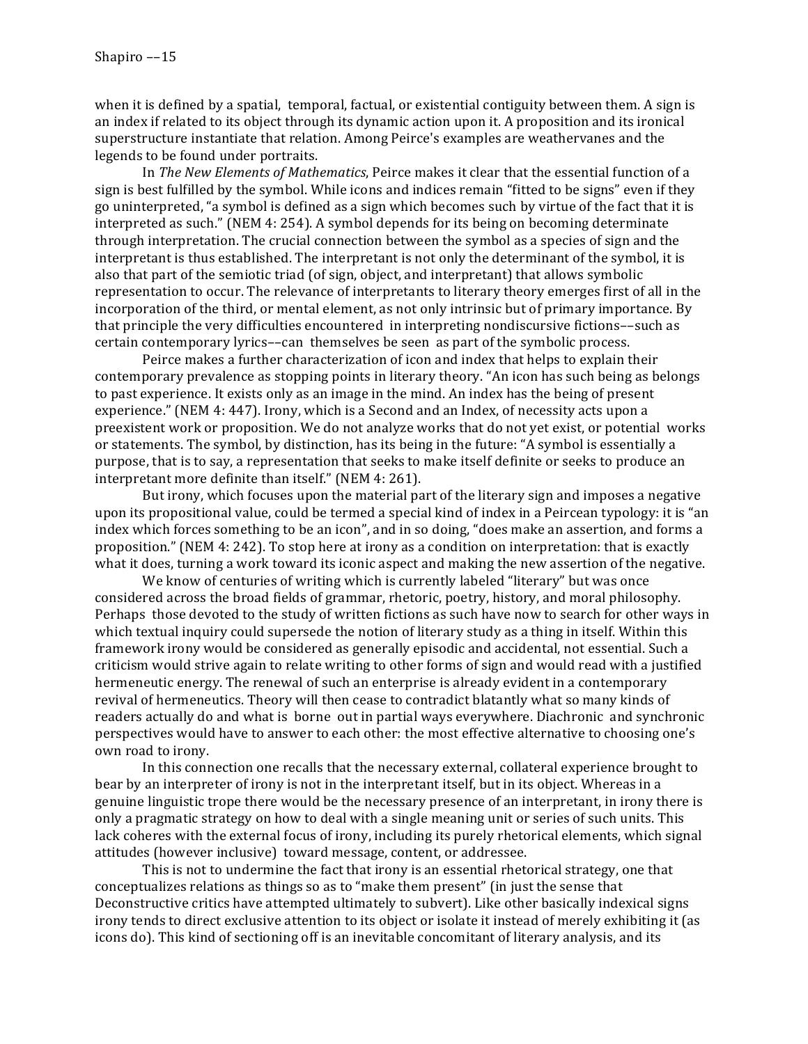when it is defined by a spatial, temporal, factual, or existential contiguity between them. A sign is an index if related to its object through its dynamic action upon it. A proposition and its ironical superstructure instantiate that relation. Among Peirce's examples are weathervanes and the legends to be found under portraits.

In The New Elements of Mathematics, Peirce makes it clear that the essential function of a sign is best fulfilled by the symbol. While icons and indices remain "fitted to be signs" even if they go uninterpreted, "a symbol is defined as a sign which becomes such by virtue of the fact that it is interpreted as such." (NEM 4: 254). A symbol depends for its being on becoming determinate through interpretation. The crucial connection between the symbol as a species of sign and the interpretant is thus established. The interpretant is not only the determinant of the symbol, it is also that part of the semiotic triad (of sign, object, and interpretant) that allows symbolic representation to occur. The relevance of interpretants to literary theory emerges first of all in the incorporation of the third, or mental element, as not only intrinsic but of primary importance. By that principle the very difficulties encountered in interpreting nondiscursive fictions––such as certain contemporary lyrics––can themselves be seen as part of the symbolic process.

Peirce makes a further characterization of icon and index that helps to explain their contemporary prevalence as stopping points in literary theory. "An icon has such being as belongs to past experience. It exists only as an image in the mind. An index has the being of present experience." (NEM 4: 447). Irony, which is a Second and an Index, of necessity acts upon a preexistent work or proposition. We do not analyze works that do not yet exist, or potential works or statements. The symbol, by distinction, has its being in the future: "A symbol is essentially a purpose, that is to say, a representation that seeks to make itself definite or seeks to produce an interpretant more definite than itself." (NEM 4: 261).

But irony, which focuses upon the material part of the literary sign and imposes a negative upon its propositional value, could be termed a special kind of index in a Peircean typology: it is "an index which forces something to be an icon", and in so doing, "does make an assertion, and forms a proposition." (NEM 4: 242). To stop here at irony as a condition on interpretation: that is exactly what it does, turning a work toward its iconic aspect and making the new assertion of the negative.

We know of centuries of writing which is currently labeled "literary" but was once considered across the broad fields of grammar, rhetoric, poetry, history, and moral philosophy. Perhaps those devoted to the study of written fictions as such have now to search for other ways in which textual inquiry could supersede the notion of literary study as a thing in itself. Within this framework irony would be considered as generally episodic and accidental, not essential. Such a criticism would strive again to relate writing to other forms of sign and would read with a justified hermeneutic energy. The renewal of such an enterprise is already evident in a contemporary revival of hermeneutics. Theory will then cease to contradict blatantly what so many kinds of readers actually do and what is borne out in partial ways everywhere. Diachronic and synchronic perspectives would have to answer to each other: the most effective alternative to choosing one's own road to irony.

In this connection one recalls that the necessary external, collateral experience brought to bear by an interpreter of irony is not in the interpretant itself, but in its object. Whereas in a genuine linguistic trope there would be the necessary presence of an interpretant, in irony there is only a pragmatic strategy on how to deal with a single meaning unit or series of such units. This lack coheres with the external focus of irony, including its purely rhetorical elements, which signal attitudes (however inclusive) toward message, content, or addressee.

This is not to undermine the fact that irony is an essential rhetorical strategy, one that conceptualizes relations as things so as to "make them present" (in just the sense that Deconstructive critics have attempted ultimately to subvert). Like other basically indexical signs irony tends to direct exclusive attention to its object or isolate it instead of merely exhibiting it (as icons do). This kind of sectioning off is an inevitable concomitant of literary analysis, and its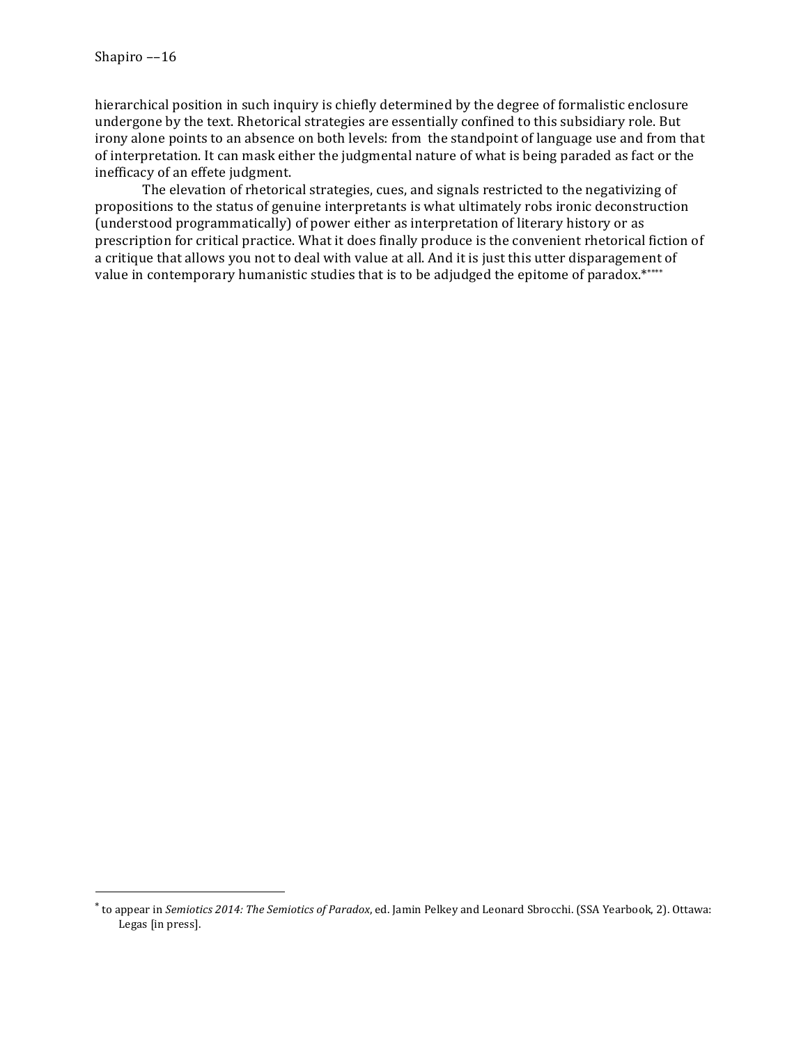hierarchical position in such inquiry is chiefly determined by the degree of formalistic enclosure undergone by the text. Rhetorical strategies are essentially confined to this subsidiary role. But irony alone points to an absence on both levels: from the standpoint of language use and from that of interpretation. It can mask either the judgmental nature of what is being paraded as fact or the inefficacy of an effete judgment.

The elevation of rhetorical strategies, cues, and signals restricted to the negativizing of propositions to the status of genuine interpretants is what ultimately robs ironic deconstruction (understood programmatically) of power either as interpretation of literary history or as prescription for critical practice. What it does finally produce is the convenient rhetorical fiction of a critique that allows you not to deal with value at all. And it is just this utter disparagement of value in contemporary humanistic studies that is to be adjudged the epitome of paradox.\*\*\*\*\*

 $*$  to appear in *Semiotics 2014: The Semiotics of Paradox*, ed. Jamin Pelkey and Leonard Sbrocchi. (SSA Yearbook, 2). Ottawa: Legas [in press].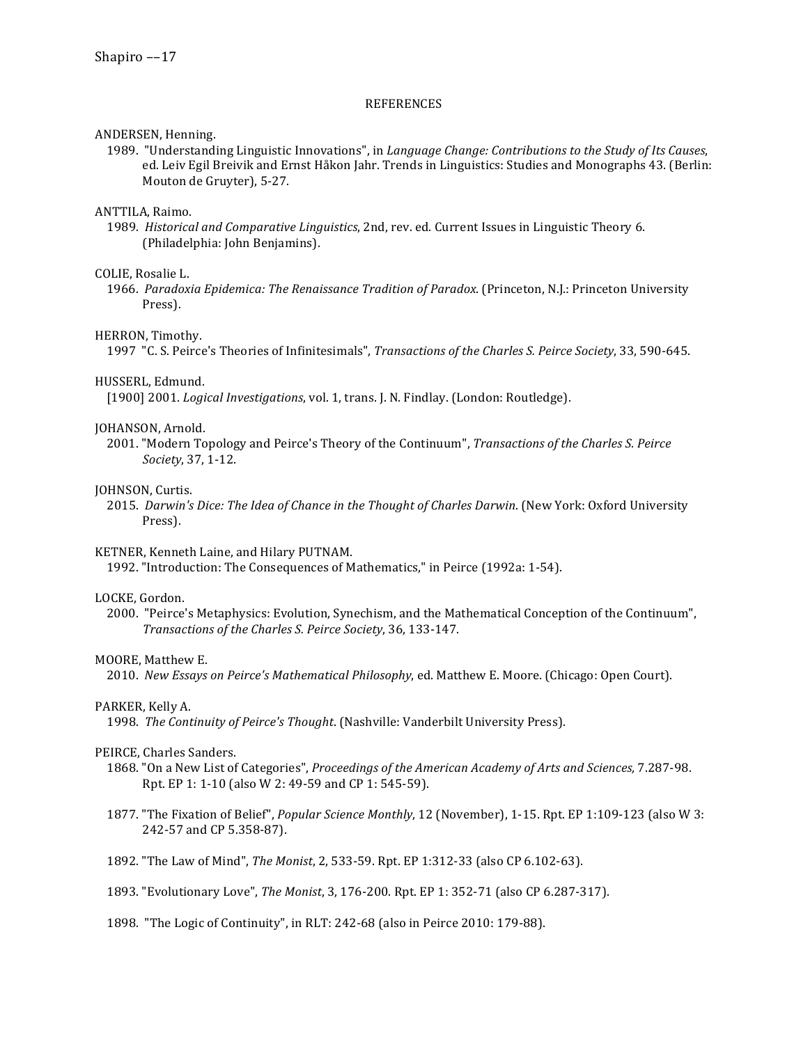### **REFERENCES**

#### ANDERSEN, Henning.

1989. "Understanding Linguistic Innovations", in *Language Change: Contributions to the Study of Its Causes*, ed. Leiv Egil Breivik and Ernst Håkon Jahr. Trends in Linguistics: Studies and Monographs 43. (Berlin: Mouton de Gruyter), 5-27.

### ANTTILA, Raimo.

1989. *Historical and Comparative Linguistics*, 2nd, rev. ed. Current Issues in Linguistic Theory 6. (Philadelphia: John Benjamins).

### COLIE, Rosalie L.

1966. Paradoxia Epidemica: The Renaissance Tradition of Paradox. (Princeton, N.J.: Princeton University Press).

### HERRON, Timothy.

1997 "C. S. Peirce's Theories of Infinitesimals", *Transactions of the Charles S. Peirce Society*, 33, 590-645.

### HUSSERL, Edmund.

[1900] 2001. *Logical Investigations*, vol. 1, trans. J. N. Findlay. (London: Routledge).

## JOHANSON, Arnold.

((((2001.("Modern(Topology(and(Peirce's(Theory(of(the(Continuum",(*Transactions\*of\*the\*Charles\*S.\*Peirce\* Societv*, 37, 1-12.

### JOHNSON, Curtis.

2015. Darwin's Dice: The Idea of Chance in the Thought of Charles Darwin. (New York: Oxford University Press).

#### KETNER, Kenneth Laine, and Hilary PUTNAM.

1992. "Introduction: The Consequences of Mathematics," in Peirce (1992a: 1-54).

## LOCKE, Gordon.

2000. "Peirce's Metaphysics: Evolution, Synechism, and the Mathematical Conception of the Continuum", *Transactions of the Charles S. Peirce Society, 36, 133-147.* 

## MOORE, Matthew E.

((((2010.((*New\*Essays\*on\*Peirce's\*Mathematical\*Philosophy*,(ed.(Matthew(E.(Moore.((Chicago:(Open(Court).

## PARKER, Kelly A.

1998. The Continuity of Peirce's Thought. (Nashville: Vanderbilt University Press).

## PEIRCE, Charles Sanders.

- 1868. "On a New List of Categories", Proceedings of the American Academy of Arts and Sciences, 7.287-98. Rpt. EP 1: 1-10 (also W 2: 49-59 and CP 1: 545-59).
- 1877. "The Fixation of Belief", *Popular Science Monthly*, 12 (November), 1-15. Rpt. EP 1:109-123 (also W 3: 242-57 and CP 5.358-87).
- 1892. "The Law of Mind", *The Monist*, 2, 533-59. Rpt. EP 1:312-33 (also CP 6.102-63).
- 1893. "Evolutionary Love", *The Monist*, 3, 176-200. Rpt. EP 1: 352-71 (also CP 6.287-317).

## 1898. "The Logic of Continuity", in RLT: 242-68 (also in Peirce 2010: 179-88).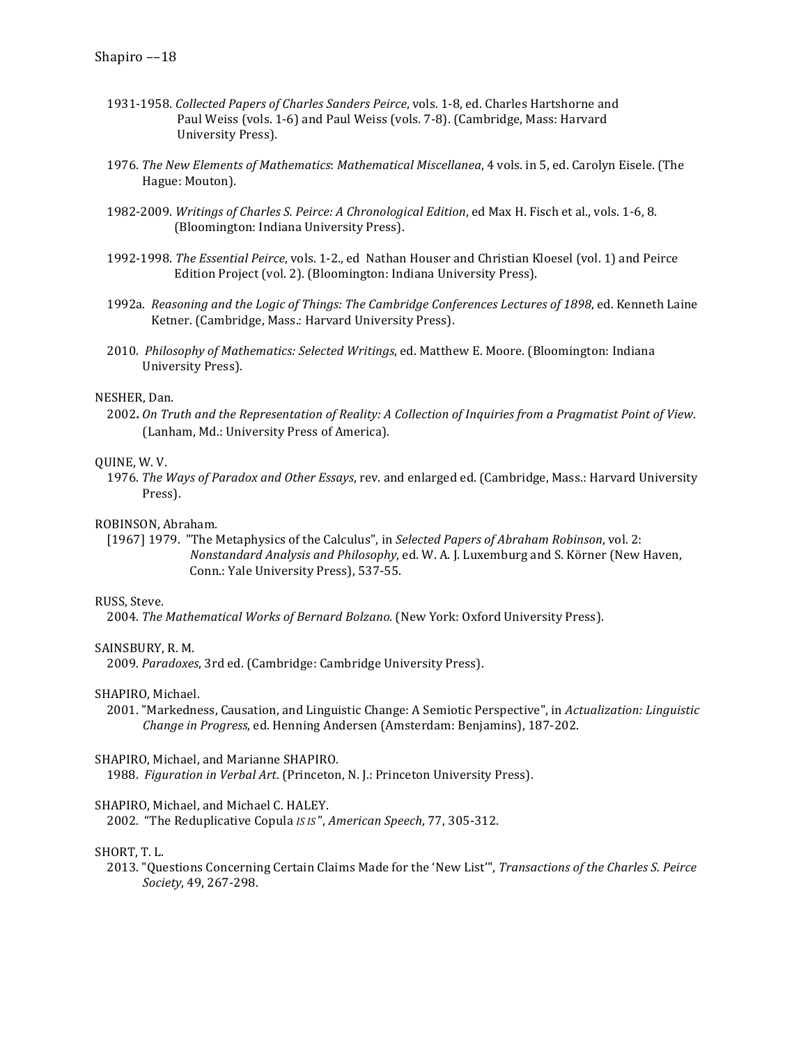- (((((((((((((((((((( 1931`1958.(*Collected\*Papers\*of\*Charles\*Sanders\*Peirce*,(vols.(1`8, ed.(Charles(Hartshorne(and( Paul Weiss (vols. 1-6) and Paul Weiss (vols. 7-8). (Cambridge, Mass: Harvard University Press).
- 1976. The New Elements of Mathematics: Mathematical Miscellanea, 4 vols. in 5, ed. Carolyn Eisele. (The Hague: Mouton).
- 1982-2009. *Writings of Charles S. Peirce: A Chronological Edition*, ed Max H. Fisch et al., vols. 1-6, 8. (Bloomington: Indiana University Press).
- 1992-1998. *The Essential Peirce*, vols. 1-2., ed Nathan Houser and Christian Kloesel (vol. 1) and Peirce Edition Project (vol. 2). (Bloomington: Indiana University Press).
- 1992a. Reasoning and the Logic of Things: The Cambridge Conferences Lectures of 1898, ed. Kenneth Laine Ketner. (Cambridge, Mass.: Harvard University Press).
- 2010. Philosophy of Mathematics: Selected Writings, ed. Matthew E. Moore. (Bloomington: Indiana University Press).

#### NESHER, Dan.

2002. On Truth and the Representation of Reality: A Collection of Inquiries from a Pragmatist Point of View. (Lanham, Md.: University Press of America).

#### QUINE, W.V.

1976. The Ways of Paradox and Other Essays, rev. and enlarged ed. (Cambridge, Mass.: Harvard University Press).

#### ROBINSON, Abraham.

[1967] 1979. "The Metaphysics of the Calculus", in *Selected Papers of Abraham Robinson*, vol. 2: *Nonstandard Analysis and Philosophy*, ed. W. A. J. Luxemburg and S. Körner (New Haven, Conn.: Yale University Press), 537-55.

#### RUSS, Steve.

2004. The Mathematical Works of Bernard Bolzano. (New York: Oxford University Press).

#### SAINSBURY, R.M.

2009. Paradoxes, 3rd ed. (Cambridge: Cambridge University Press).

#### SHAPIRO, Michael.

((((2001.("Markedness,(Causation,(and(Linguistic(Change:(A(Semiotic(Perspective",(in(*Actualization:\*Linguistic\* Change in Progress, ed. Henning Andersen (Amsterdam: Benjamins), 187-202.* 

#### SHAPIRO, Michael, and Marianne SHAPIRO.

1988. Figuration in Verbal Art. (Princeton, N. J.: Princeton University Press).

### SHAPIRO, Michael, and Michael C. HALEY.

2002. "The Reduplicative Copula *IS IS"*, *American Speech*, 77, 305-312.

#### SHORT, T.L.

2013. "Questions Concerning Certain Claims Made for the 'New List'", Transactions of the Charles S. Peirce *Society*, 49, 267-298.